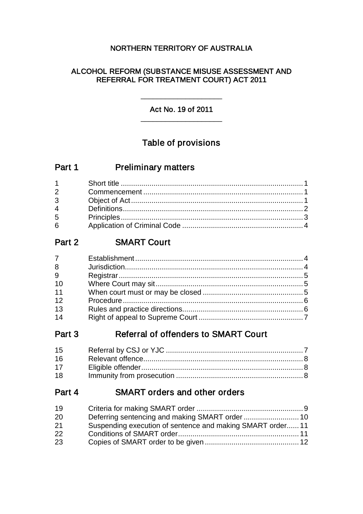## NORTHERN TERRITORY OF AUSTRALIA

## ALCOHOL REFORM (SUBSTANCE MISUSE ASSESSMENT AND REFERRAL FOR TREATMENT COURT) ACT 2011

Act No. 19 of 2011 \_\_\_\_\_\_\_\_\_\_\_\_\_\_\_\_\_\_\_\_

\_\_\_\_\_\_\_\_\_\_\_\_\_\_\_\_\_\_\_\_

# Table of provisions

| Part 1 | <b>Preliminary matters</b> |
|--------|----------------------------|
|--------|----------------------------|

| $1 \quad \blacksquare$ |  |
|------------------------|--|
| $2^{\sim}$             |  |
| $3^{\circ}$            |  |
| $\overline{4}$         |  |
| $5^{\circ}$            |  |
| $6 \quad$              |  |

# Part 2 **SMART Court**

| $7 \quad$ |  |
|-----------|--|
| 8         |  |
| 9         |  |
| 10        |  |
| 11        |  |
| 12        |  |
| 13        |  |
| 14        |  |

# Part 3 Referral of offenders to SMART Court

| 16 |  |
|----|--|
| 17 |  |
| 18 |  |

# Part 4 SMART orders and other orders

| 19 |                                                           |
|----|-----------------------------------------------------------|
| 20 |                                                           |
| 21 | Suspending execution of sentence and making SMART order11 |
| 22 |                                                           |
| 23 |                                                           |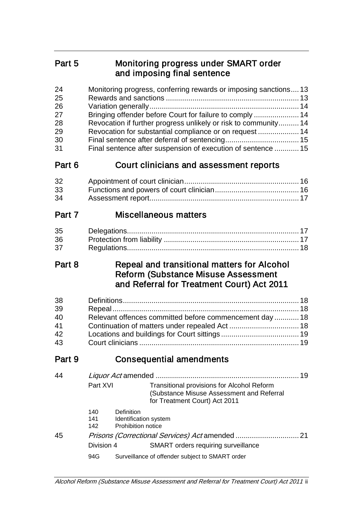# Part 5 Monitoring progress under SMART order and imposing final sentence

| 24<br>25<br>26<br>27<br>28<br>29<br>30<br>31 |                        |                                                            | Monitoring progress, conferring rewards or imposing sanctions 13<br>Bringing offender before Court for failure to comply  14<br>Revocation if further progress unlikely or risk to community 14<br>Revocation for substantial compliance or on request  14<br>Final sentence after suspension of execution of sentence  15 |    |
|----------------------------------------------|------------------------|------------------------------------------------------------|----------------------------------------------------------------------------------------------------------------------------------------------------------------------------------------------------------------------------------------------------------------------------------------------------------------------------|----|
| Part 6                                       |                        |                                                            | Court clinicians and assessment reports                                                                                                                                                                                                                                                                                    |    |
| 32<br>33<br>34                               |                        |                                                            |                                                                                                                                                                                                                                                                                                                            |    |
| Part 7                                       |                        |                                                            | <b>Miscellaneous matters</b>                                                                                                                                                                                                                                                                                               |    |
| 35<br>36<br>37                               |                        |                                                            |                                                                                                                                                                                                                                                                                                                            |    |
| Part 8                                       |                        |                                                            | Repeal and transitional matters for Alcohol<br><b>Reform (Substance Misuse Assessment</b><br>and Referral for Treatment Court) Act 2011                                                                                                                                                                                    |    |
| 38<br>39<br>40<br>41<br>42<br>43             |                        |                                                            | Relevant offences committed before commencement day  18                                                                                                                                                                                                                                                                    |    |
| Part 9                                       |                        |                                                            | <b>Consequential amendments</b>                                                                                                                                                                                                                                                                                            |    |
| 44                                           | Part XVI<br>140<br>141 | Liquor Act amended.<br>Definition<br>Identification system | <b>Transitional provisions for Alcohol Reform</b><br>(Substance Misuse Assessment and Referral<br>for Treatment Court) Act 2011                                                                                                                                                                                            | 19 |
| 45                                           | 142                    | Prohibition notice                                         |                                                                                                                                                                                                                                                                                                                            |    |
|                                              | Division 4             |                                                            | SMART orders requiring surveillance                                                                                                                                                                                                                                                                                        |    |

94G Surveillance of offender subject to SMART order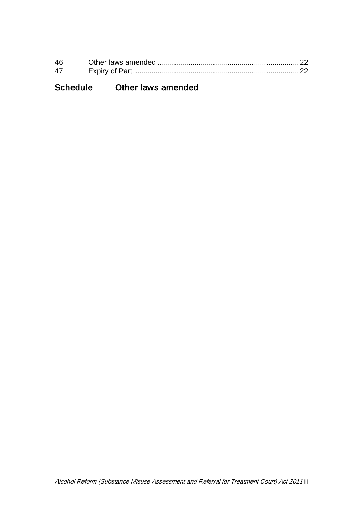| 46 |  |
|----|--|
| 47 |  |
|    |  |

# Schedule Other laws amended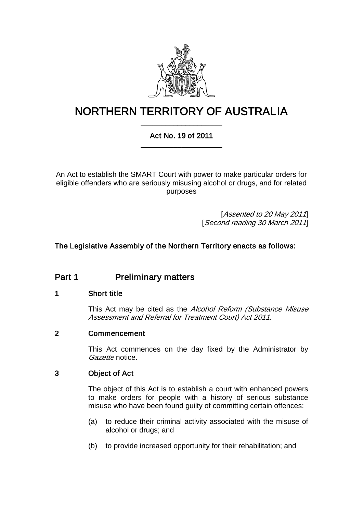

# NORTHERN TERRITORY OF AUSTRALIA \_\_\_\_\_\_\_\_\_\_\_\_\_\_\_\_\_\_\_\_

## Act No. 19 of 2011 \_\_\_\_\_\_\_\_\_\_\_\_\_\_\_\_\_\_\_\_

An Act to establish the SMART Court with power to make particular orders for eligible offenders who are seriously misusing alcohol or drugs, and for related purposes

> [Assented to 20 May 2011] [Second reading 30 March 2011]

## The Legislative Assembly of the Northern Territory enacts as follows:

# Part 1 **Preliminary matters**

## 1 Short title

This Act may be cited as the Alcohol Reform (Substance Misuse Assessment and Referral for Treatment Court) Act 2011.

## 2 Commencement

This Act commences on the day fixed by the Administrator by Gazette notice.

## 3 Object of Act

The object of this Act is to establish a court with enhanced powers to make orders for people with a history of serious substance misuse who have been found guilty of committing certain offences:

- (a) to reduce their criminal activity associated with the misuse of alcohol or drugs; and
- (b) to provide increased opportunity for their rehabilitation; and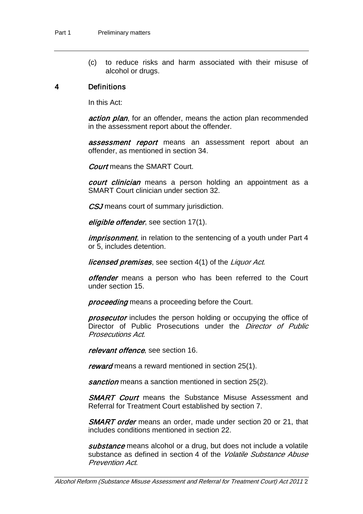(c) to reduce risks and harm associated with their misuse of alcohol or drugs.

#### 4 Definitions

In this Act:

action plan, for an offender, means the action plan recommended in the assessment report about the offender.

**assessment report** means an assessment report about an offender, as mentioned in section [34.](#page-19-0)

Court means the SMART Court.

court clinician means a person holding an appointment as a SMART Court clinician under section [32.](#page-18-0)

CSJ means court of summary jurisdiction.

eligible offender, see section [17\(](#page-10-0)1).

*imprisonment*, in relation to the sentencing of a youth under Part 4 or 5, includes detention.

**licensed premises**, see section 4(1) of the Liquor Act.

offender means a person who has been referred to the Court under section [15.](#page-9-0)

proceeding means a proceeding before the Court.

**prosecutor** includes the person holding or occupying the office of Director of Public Prosecutions under the *Director of Public* Prosecutions Act.

relevant offence, see section [16.](#page-10-1)

reward means a reward mentioned in section [25\(](#page-15-0)1).

sanction means a sanction mentioned in section [25\(](#page-15-0)2).

**SMART Court** means the Substance Misuse Assessment and Referral for Treatment Court established by section [7.](#page-6-0)

**SMART order** means an order, made under section [20](#page-12-0) or [21,](#page-13-0) that includes conditions mentioned in section [22.](#page-13-1)

substance means alcohol or a drug, but does not include a volatile substance as defined in section 4 of the *Volatile Substance Abuse* Prevention Act.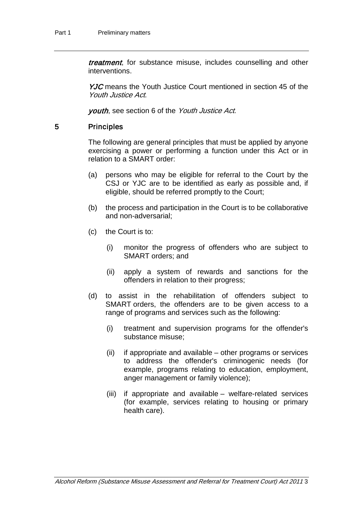treatment, for substance misuse, includes counselling and other interventions.

YJC means the Youth Justice Court mentioned in section 45 of the Youth Justice Act.

youth, see section 6 of the Youth Justice Act.

#### 5 Principles

The following are general principles that must be applied by anyone exercising a power or performing a function under this Act or in relation to a SMART order:

- (a) persons who may be eligible for referral to the Court by the CSJ or YJC are to be identified as early as possible and, if eligible, should be referred promptly to the Court;
- (b) the process and participation in the Court is to be collaborative and non-adversarial;
- (c) the Court is to:
	- (i) monitor the progress of offenders who are subject to SMART orders; and
	- (ii) apply a system of rewards and sanctions for the offenders in relation to their progress;
- (d) to assist in the rehabilitation of offenders subject to SMART orders, the offenders are to be given access to a range of programs and services such as the following:
	- (i) treatment and supervision programs for the offender's substance misuse;
	- (ii) if appropriate and available other programs or services to address the offender's criminogenic needs (for example, programs relating to education, employment, anger management or family violence);
	- (iii) if appropriate and available welfare-related services (for example, services relating to housing or primary health care).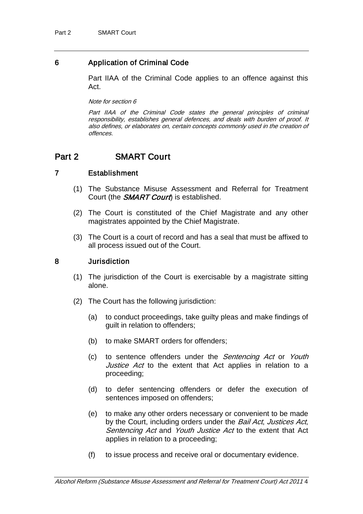## 6 Application of Criminal Code

Part IIAA of the Criminal Code applies to an offence against this Act.

Note for section 6

Part IIAA of the Criminal Code states the general principles of criminal responsibility, establishes general defences, and deals with burden of proof. It also defines, or elaborates on, certain concepts commonly used in the creation of offences.

## Part 2 **SMART Court**

## 7 Establishment

- <span id="page-6-0"></span>(1) The Substance Misuse Assessment and Referral for Treatment Court (the **SMART Court**) is established.
- (2) The Court is constituted of the Chief Magistrate and any other magistrates appointed by the Chief Magistrate.
- (3) The Court is a court of record and has a seal that must be affixed to all process issued out of the Court.

## <span id="page-6-1"></span>8 Jurisdiction

- (1) The jurisdiction of the Court is exercisable by a magistrate sitting alone.
- (2) The Court has the following jurisdiction:
	- (a) to conduct proceedings, take guilty pleas and make findings of guilt in relation to offenders;
	- (b) to make SMART orders for offenders;
	- (c) to sentence offenders under the Sentencing Act or Youth Justice Act to the extent that Act applies in relation to a proceeding;
	- (d) to defer sentencing offenders or defer the execution of sentences imposed on offenders;
	- (e) to make any other orders necessary or convenient to be made by the Court, including orders under the Bail Act, Justices Act, Sentencing Act and Youth Justice Act to the extent that Act applies in relation to a proceeding;
	- (f) to issue process and receive oral or documentary evidence.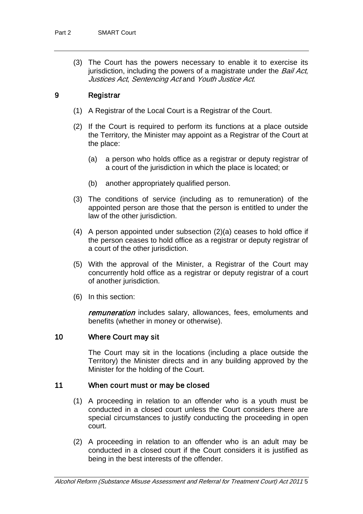(3) The Court has the powers necessary to enable it to exercise its jurisdiction, including the powers of a magistrate under the Bail Act, Justices Act, Sentencing Act and Youth Justice Act.

## <span id="page-7-1"></span>9 Registrar

- (1) A Registrar of the Local Court is a Registrar of the Court.
- (2) If the Court is required to perform its functions at a place outside the Territory, the Minister may appoint as a Registrar of the Court at the place:
	- (a) a person who holds office as a registrar or deputy registrar of a court of the jurisdiction in which the place is located; or
	- (b) another appropriately qualified person.
- (3) The conditions of service (including as to remuneration) of the appointed person are those that the person is entitled to under the law of the other jurisdiction.
- (4) A person appointed under subsection (2)(a) ceases to hold office if the person ceases to hold office as a registrar or deputy registrar of a court of the other jurisdiction.
- (5) With the approval of the Minister, a Registrar of the Court may concurrently hold office as a registrar or deputy registrar of a court of another jurisdiction.
- (6) In this section:

remuneration includes salary, allowances, fees, emoluments and benefits (whether in money or otherwise).

## <span id="page-7-0"></span>10 Where Court may sit

The Court may sit in the locations (including a place outside the Territory) the Minister directs and in any building approved by the Minister for the holding of the Court.

## 11 When court must or may be closed

- (1) A proceeding in relation to an offender who is a youth must be conducted in a closed court unless the Court considers there are special circumstances to justify conducting the proceeding in open court.
- (2) A proceeding in relation to an offender who is an adult may be conducted in a closed court if the Court considers it is justified as being in the best interests of the offender.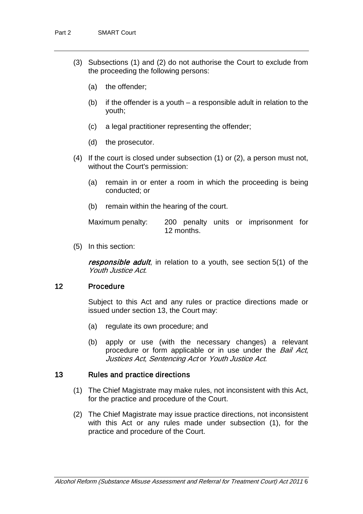- (3) Subsections (1) and (2) do not authorise the Court to exclude from the proceeding the following persons:
	- (a) the offender;
	- (b) if the offender is a youth a responsible adult in relation to the youth;
	- (c) a legal practitioner representing the offender;
	- (d) the prosecutor.
- (4) If the court is closed under subsection (1) or (2), a person must not, without the Court's permission:
	- (a) remain in or enter a room in which the proceeding is being conducted; or
	- (b) remain within the hearing of the court.

Maximum penalty: 200 penalty units or imprisonment for 12 months.

(5) In this section:

responsible adult, in relation to a youth, see section 5(1) of the Youth Justice Act.

#### 12 Procedure

Subject to this Act and any rules or practice directions made or issued under section [13,](#page-8-0) the Court may:

- (a) regulate its own procedure; and
- (b) apply or use (with the necessary changes) a relevant procedure or form applicable or in use under the Bail Act, Justices Act, Sentencing Act or Youth Justice Act.

## <span id="page-8-0"></span>13 Rules and practice directions

- (1) The Chief Magistrate may make rules, not inconsistent with this Act, for the practice and procedure of the Court.
- (2) The Chief Magistrate may issue practice directions, not inconsistent with this Act or any rules made under subsection (1), for the practice and procedure of the Court.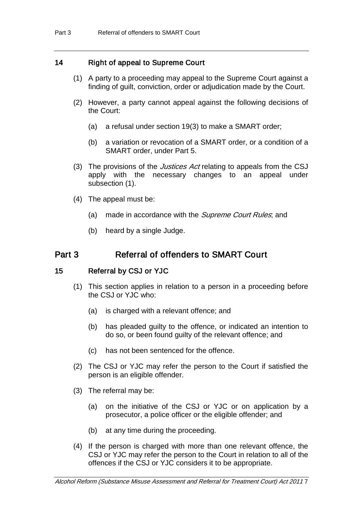## 14 Right of appeal to Supreme Court

- (1) A party to a proceeding may appeal to the Supreme Court against a finding of guilt, conviction, order or adjudication made by the Court.
- (2) However, a party cannot appeal against the following decisions of the Court:
	- (a) a refusal under section [19\(](#page-11-0)3) to make a SMART order;
	- (b) a variation or revocation of a SMART order, or a condition of a SMART order, under Part 5.
- (3) The provisions of the *Justices Act* relating to appeals from the CSJ apply with the necessary changes to an appeal under subsection (1).
- (4) The appeal must be:
	- (a) made in accordance with the *Supreme Court Rules*; and
	- (b) heard by a single Judge.

# Part 3 Referral of offenders to SMART Court

## 15 Referral by CSJ or YJC

- <span id="page-9-0"></span>(1) This section applies in relation to a person in a proceeding before the CSJ or YJC who:
	- (a) is charged with a relevant offence; and
	- (b) has pleaded guilty to the offence, or indicated an intention to do so, or been found guilty of the relevant offence; and
	- (c) has not been sentenced for the offence.
- (2) The CSJ or YJC may refer the person to the Court if satisfied the person is an eligible offender.
- (3) The referral may be:
	- (a) on the initiative of the CSJ or YJC or on application by a prosecutor, a police officer or the eligible offender; and
	- (b) at any time during the proceeding.
- (4) If the person is charged with more than one relevant offence, the CSJ or YJC may refer the person to the Court in relation to all of the offences if the CSJ or YJC considers it to be appropriate.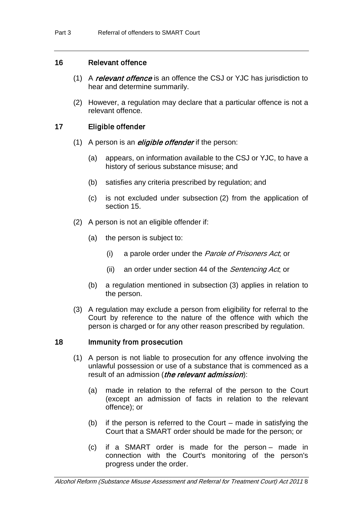## <span id="page-10-1"></span>16 Relevant offence

- (1) A relevant offence is an offence the CSJ or YJC has jurisdiction to hear and determine summarily.
- (2) However, a regulation may declare that a particular offence is not a relevant offence.

## <span id="page-10-0"></span>17 Eligible offender

- (1) A person is an *eligible offender* if the person:
	- (a) appears, on information available to the CSJ or YJC, to have a history of serious substance misuse; and
	- (b) satisfies any criteria prescribed by regulation; and
	- (c) is not excluded under subsection (2) from the application of section [15.](#page-9-0)
- (2) A person is not an eligible offender if:
	- (a) the person is subject to:
		- (i) a parole order under the Parole of Prisoners Act; or
		- (ii) an order under section 44 of the *Sentencing Act*; or
	- (b) a regulation mentioned in subsection (3) applies in relation to the person.
- (3) A regulation may exclude a person from eligibility for referral to the Court by reference to the nature of the offence with which the person is charged or for any other reason prescribed by regulation.

#### 18 Immunity from prosecution

- (1) A person is not liable to prosecution for any offence involving the unlawful possession or use of a substance that is commenced as a result of an admission (*the relevant admission*):
	- (a) made in relation to the referral of the person to the Court (except an admission of facts in relation to the relevant offence); or
	- (b) if the person is referred to the Court made in satisfying the Court that a SMART order should be made for the person; or
	- (c) if a SMART order is made for the person made in connection with the Court's monitoring of the person's progress under the order.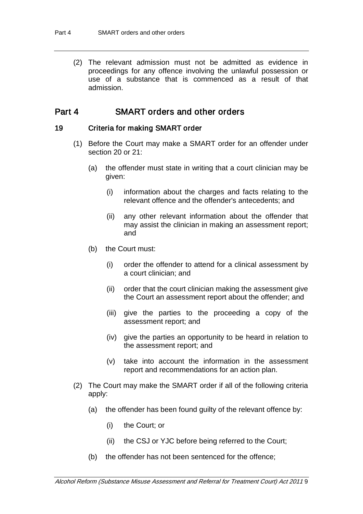(2) The relevant admission must not be admitted as evidence in proceedings for any offence involving the unlawful possession or use of a substance that is commenced as a result of that admission.

## Part 4 SMART orders and other orders

#### 19 Criteria for making SMART order

- <span id="page-11-0"></span>(1) Before the Court may make a SMART order for an offender under section [20](#page-12-0) or [21:](#page-13-0)
	- (a) the offender must state in writing that a court clinician may be given:
		- (i) information about the charges and facts relating to the relevant offence and the offender's antecedents; and
		- (ii) any other relevant information about the offender that may assist the clinician in making an assessment report; and
	- (b) the Court must:
		- (i) order the offender to attend for a clinical assessment by a court clinician; and
		- (ii) order that the court clinician making the assessment give the Court an assessment report about the offender; and
		- (iii) give the parties to the proceeding a copy of the assessment report; and
		- (iv) give the parties an opportunity to be heard in relation to the assessment report; and
		- (v) take into account the information in the assessment report and recommendations for an action plan.
- (2) The Court may make the SMART order if all of the following criteria apply:
	- (a) the offender has been found guilty of the relevant offence by:
		- (i) the Court; or
		- (ii) the CSJ or YJC before being referred to the Court;
	- (b) the offender has not been sentenced for the offence;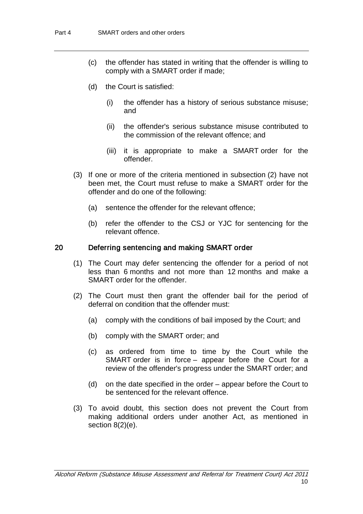- (c) the offender has stated in writing that the offender is willing to comply with a SMART order if made;
- (d) the Court is satisfied:
	- (i) the offender has a history of serious substance misuse; and
	- (ii) the offender's serious substance misuse contributed to the commission of the relevant offence; and
	- (iii) it is appropriate to make a SMART order for the offender.
- (3) If one or more of the criteria mentioned in subsection (2) have not been met, the Court must refuse to make a SMART order for the offender and do one of the following:
	- (a) sentence the offender for the relevant offence;
	- (b) refer the offender to the CSJ or YJC for sentencing for the relevant offence.

#### <span id="page-12-0"></span>20 Deferring sentencing and making SMART order

- (1) The Court may defer sentencing the offender for a period of not less than 6 months and not more than 12 months and make a SMART order for the offender.
- (2) The Court must then grant the offender bail for the period of deferral on condition that the offender must:
	- (a) comply with the conditions of bail imposed by the Court; and
	- (b) comply with the SMART order; and
	- (c) as ordered from time to time by the Court while the SMART order is in force – appear before the Court for a review of the offender's progress under the SMART order; and
	- (d) on the date specified in the order appear before the Court to be sentenced for the relevant offence.
- (3) To avoid doubt, this section does not prevent the Court from making additional orders under another Act, as mentioned in section [8\(](#page-6-1)2)(e).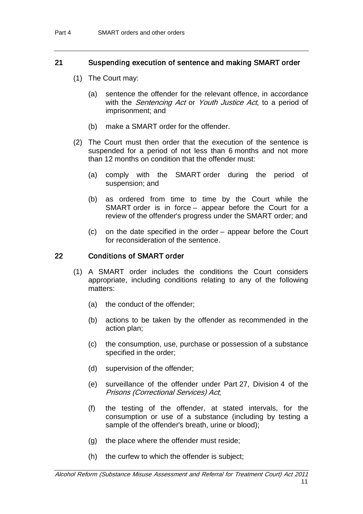## <span id="page-13-0"></span>21 Suspending execution of sentence and making SMART order

- (1) The Court may:
	- (a) sentence the offender for the relevant offence, in accordance with the *Sentencing Act* or *Youth Justice Act*, to a period of imprisonment; and
	- (b) make a SMART order for the offender.
- (2) The Court must then order that the execution of the sentence is suspended for a period of not less than 6 months and not more than 12 months on condition that the offender must:
	- (a) comply with the SMART order during the period of suspension; and
	- (b) as ordered from time to time by the Court while the SMART order is in force – appear before the Court for a review of the offender's progress under the SMART order; and
	- (c) on the date specified in the order appear before the Court for reconsideration of the sentence.

## <span id="page-13-1"></span>22 Conditions of SMART order

- (1) A SMART order includes the conditions the Court considers appropriate, including conditions relating to any of the following matters:
	- (a) the conduct of the offender;
	- (b) actions to be taken by the offender as recommended in the action plan;
	- (c) the consumption, use, purchase or possession of a substance specified in the order;
	- (d) supervision of the offender;
	- (e) surveillance of the offender under Part 27, Division 4 of the Prisons (Correctional Services) Act;
	- (f) the testing of the offender, at stated intervals, for the consumption or use of a substance (including by testing a sample of the offender's breath, urine or blood);
	- (g) the place where the offender must reside;
	- (h) the curfew to which the offender is subject;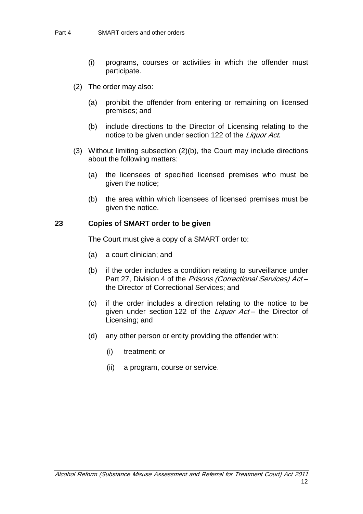- (i) programs, courses or activities in which the offender must participate.
- (2) The order may also:
	- (a) prohibit the offender from entering or remaining on licensed premises; and
	- (b) include directions to the Director of Licensing relating to the notice to be given under section 122 of the Liquor Act.
- (3) Without limiting subsection (2)(b), the Court may include directions about the following matters:
	- (a) the licensees of specified licensed premises who must be given the notice;
	- (b) the area within which licensees of licensed premises must be given the notice.

#### <span id="page-14-0"></span>23 Copies of SMART order to be given

The Court must give a copy of a SMART order to:

- (a) a court clinician; and
- (b) if the order includes a condition relating to surveillance under Part 27, Division 4 of the Prisons (Correctional Services) Actthe Director of Correctional Services; and
- (c) if the order includes a direction relating to the notice to be given under section 122 of the *Liquor Act* – the Director of Licensing; and
- (d) any other person or entity providing the offender with:
	- (i) treatment; or
	- (ii) a program, course or service.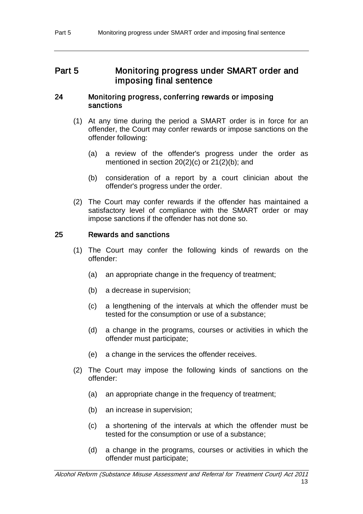## Part 5 Monitoring progress under SMART order and imposing final sentence

## 24 Monitoring progress, conferring rewards or imposing sanctions

- (1) At any time during the period a SMART order is in force for an offender, the Court may confer rewards or impose sanctions on the offender following:
	- (a) a review of the offender's progress under the order as mentioned in section [20\(](#page-12-0)2)(c) or [21\(](#page-13-0)2)(b); and
	- (b) consideration of a report by a court clinician about the offender's progress under the order.
- (2) The Court may confer rewards if the offender has maintained a satisfactory level of compliance with the SMART order or may impose sanctions if the offender has not done so.

## <span id="page-15-0"></span>25 Rewards and sanctions

- (1) The Court may confer the following kinds of rewards on the offender:
	- (a) an appropriate change in the frequency of treatment;
	- (b) a decrease in supervision;
	- (c) a lengthening of the intervals at which the offender must be tested for the consumption or use of a substance;
	- (d) a change in the programs, courses or activities in which the offender must participate;
	- (e) a change in the services the offender receives.
- (2) The Court may impose the following kinds of sanctions on the offender:
	- (a) an appropriate change in the frequency of treatment;
	- (b) an increase in supervision;
	- (c) a shortening of the intervals at which the offender must be tested for the consumption or use of a substance;
	- (d) a change in the programs, courses or activities in which the offender must participate;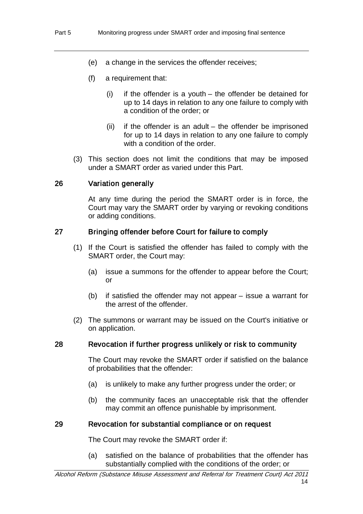- (e) a change in the services the offender receives;
- (f) a requirement that:
	- (i) if the offender is a youth the offender be detained for up to 14 days in relation to any one failure to comply with a condition of the order; or
	- (ii) if the offender is an adult the offender be imprisoned for up to 14 days in relation to any one failure to comply with a condition of the order.
- (3) This section does not limit the conditions that may be imposed under a SMART order as varied under this Part.

## 26 Variation generally

At any time during the period the SMART order is in force, the Court may vary the SMART order by varying or revoking conditions or adding conditions.

#### 27 Bringing offender before Court for failure to comply

- (1) If the Court is satisfied the offender has failed to comply with the SMART order, the Court may:
	- (a) issue a summons for the offender to appear before the Court; or
	- (b) if satisfied the offender may not appear issue a warrant for the arrest of the offender.
- (2) The summons or warrant may be issued on the Court's initiative or on application.

#### 28 Revocation if further progress unlikely or risk to community

The Court may revoke the SMART order if satisfied on the balance of probabilities that the offender:

- (a) is unlikely to make any further progress under the order; or
- (b) the community faces an unacceptable risk that the offender may commit an offence punishable by imprisonment.

#### 29 Revocation for substantial compliance or on request

The Court may revoke the SMART order if:

(a) satisfied on the balance of probabilities that the offender has substantially complied with the conditions of the order; or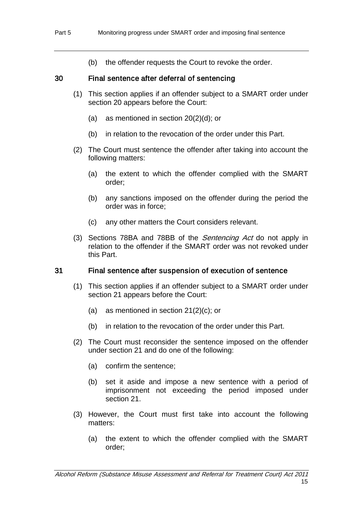(b) the offender requests the Court to revoke the order.

## 30 Final sentence after deferral of sentencing

- (1) This section applies if an offender subject to a SMART order under section [20](#page-12-0) appears before the Court:
	- (a) as mentioned in section [20\(](#page-12-0)2)(d); or
	- (b) in relation to the revocation of the order under this Part.
- (2) The Court must sentence the offender after taking into account the following matters:
	- (a) the extent to which the offender complied with the SMART order;
	- (b) any sanctions imposed on the offender during the period the order was in force;
	- (c) any other matters the Court considers relevant.
- (3) Sections 78BA and 78BB of the *Sentencing Act* do not apply in relation to the offender if the SMART order was not revoked under this Part.

## 31 Final sentence after suspension of execution of sentence

- (1) This section applies if an offender subject to a SMART order under section [21](#page-13-0) appears before the Court:
	- (a) as mentioned in section  $21(2)(c)$  $21(2)(c)$ ; or
	- (b) in relation to the revocation of the order under this Part.
- (2) The Court must reconsider the sentence imposed on the offender under section [21](#page-13-0) and do one of the following:
	- (a) confirm the sentence;
	- (b) set it aside and impose a new sentence with a period of imprisonment not exceeding the period imposed under section [21.](#page-13-0)
- (3) However, the Court must first take into account the following matters:
	- (a) the extent to which the offender complied with the SMART order;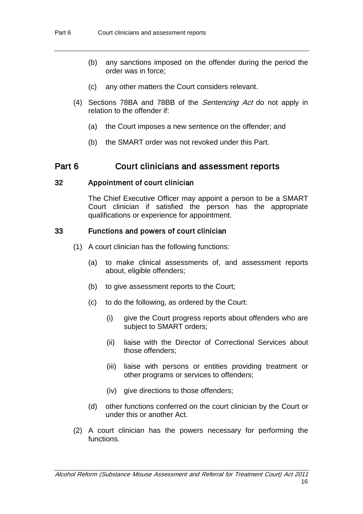- (b) any sanctions imposed on the offender during the period the order was in force;
- (c) any other matters the Court considers relevant.
- (4) Sections 78BA and 78BB of the *Sentencing Act* do not apply in relation to the offender if:
	- (a) the Court imposes a new sentence on the offender; and
	- (b) the SMART order was not revoked under this Part.

## Part 6 Court clinicians and assessment reports

#### 32 Appointment of court clinician

<span id="page-18-0"></span>The Chief Executive Officer may appoint a person to be a SMART Court clinician if satisfied the person has the appropriate qualifications or experience for appointment.

## 33 Functions and powers of court clinician

- (1) A court clinician has the following functions:
	- (a) to make clinical assessments of, and assessment reports about, eligible offenders;
	- (b) to give assessment reports to the Court;
	- (c) to do the following, as ordered by the Court:
		- (i) give the Court progress reports about offenders who are subject to SMART orders;
		- (ii) liaise with the Director of Correctional Services about those offenders;
		- (iii) liaise with persons or entities providing treatment or other programs or services to offenders;
		- (iv) give directions to those offenders;
	- (d) other functions conferred on the court clinician by the Court or under this or another Act.
- (2) A court clinician has the powers necessary for performing the functions.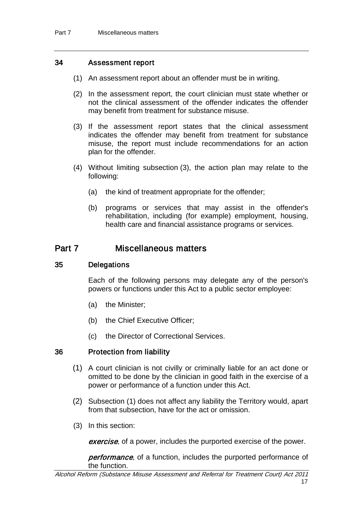## <span id="page-19-0"></span>34 Assessment report

- (1) An assessment report about an offender must be in writing.
- (2) In the assessment report, the court clinician must state whether or not the clinical assessment of the offender indicates the offender may benefit from treatment for substance misuse.
- (3) If the assessment report states that the clinical assessment indicates the offender may benefit from treatment for substance misuse, the report must include recommendations for an action plan for the offender.
- (4) Without limiting subsection (3), the action plan may relate to the following:
	- (a) the kind of treatment appropriate for the offender;
	- (b) programs or services that may assist in the offender's rehabilitation, including (for example) employment, housing, health care and financial assistance programs or services.

## Part 7 Miscellaneous matters

#### 35 Delegations

Each of the following persons may delegate any of the person's powers or functions under this Act to a public sector employee:

- (a) the Minister;
- (b) the Chief Executive Officer;
- (c) the Director of Correctional Services.

## 36 Protection from liability

- (1) A court clinician is not civilly or criminally liable for an act done or omitted to be done by the clinician in good faith in the exercise of a power or performance of a function under this Act.
- (2) Subsection (1) does not affect any liability the Territory would, apart from that subsection, have for the act or omission.
- (3) In this section:

exercise, of a power, includes the purported exercise of the power.

performance, of a function, includes the purported performance of the function.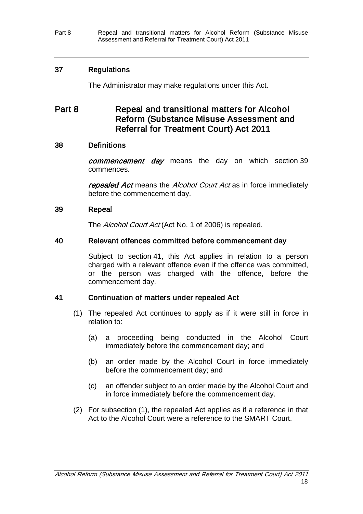Part 8 Repeal and transitional matters for Alcohol Reform (Substance Misuse Assessment and Referral for Treatment Court) Act 2011

## 37 Regulations

The Administrator may make regulations under this Act.

# Part 8 Repeal and transitional matters for Alcohol Reform (Substance Misuse Assessment and Referral for Treatment Court) Act 2011

## 38 Definitions

commencement day means the day on which section [39](#page-20-0) commences.

repealed Act means the Alcohol Court Act as in force immediately before the commencement day.

## <span id="page-20-0"></span>39 Repeal

The Alcohol Court Act (Act No. 1 of 2006) is repealed.

## 40 Relevant offences committed before commencement day

Subject to section [41,](#page-20-1) this Act applies in relation to a person charged with a relevant offence even if the offence was committed, or the person was charged with the offence, before the commencement day.

## <span id="page-20-1"></span>41 Continuation of matters under repealed Act

- (1) The repealed Act continues to apply as if it were still in force in relation to:
	- (a) a proceeding being conducted in the Alcohol Court immediately before the commencement day; and
	- (b) an order made by the Alcohol Court in force immediately before the commencement day; and
	- (c) an offender subject to an order made by the Alcohol Court and in force immediately before the commencement day.
- (2) For subsection (1), the repealed Act applies as if a reference in that Act to the Alcohol Court were a reference to the SMART Court.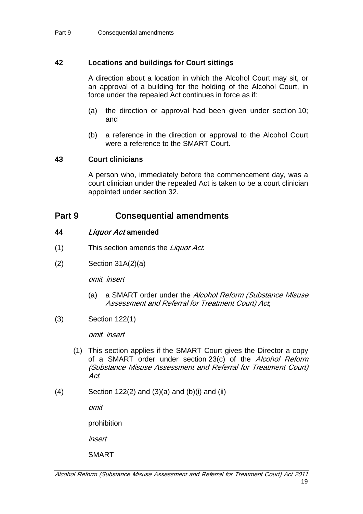## 42 Locations and buildings for Court sittings

A direction about a location in which the Alcohol Court may sit, or an approval of a building for the holding of the Alcohol Court, in force under the repealed Act continues in force as if:

- (a) the direction or approval had been given under section [10;](#page-7-0) and
- (b) a reference in the direction or approval to the Alcohol Court were a reference to the SMART Court.

## 43 Court clinicians

A person who, immediately before the commencement day, was a court clinician under the repealed Act is taken to be a court clinician appointed under section [32.](#page-18-0)

## Part 9 Consequential amendments

## <span id="page-21-0"></span>44 Liquor Act amended

- (1) This section amends the Liquor Act.
- (2) Section 31A(2)(a)

omit, insert

- (a) a SMART order under the Alcohol Reform (Substance Misuse Assessment and Referral for Treatment Court) Act;
- (3) Section 122(1)

omit, insert

- (1) This section applies if the SMART Court gives the Director a copy of a SMART order under section [23\(](#page-14-0)c) of the Alcohol Reform (Substance Misuse Assessment and Referral for Treatment Court) Act.
- $(4)$  Section 122 $(2)$  and  $(3)(a)$  and  $(b)(i)$  and  $(ii)$

omit

prohibition

insert

SMART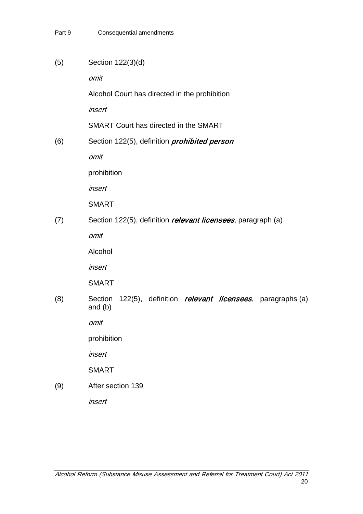| (5) | Section 122(3)(d)                                                                     |  |  |  |  |
|-----|---------------------------------------------------------------------------------------|--|--|--|--|
|     | omit                                                                                  |  |  |  |  |
|     | Alcohol Court has directed in the prohibition                                         |  |  |  |  |
|     | insert                                                                                |  |  |  |  |
|     | SMART Court has directed in the SMART                                                 |  |  |  |  |
| (6) | Section 122(5), definition <i>prohibited person</i>                                   |  |  |  |  |
|     | omit                                                                                  |  |  |  |  |
|     | prohibition                                                                           |  |  |  |  |
|     | insert                                                                                |  |  |  |  |
|     | <b>SMART</b>                                                                          |  |  |  |  |
| (7) | Section 122(5), definition <i>relevant licensees</i> , paragraph (a)                  |  |  |  |  |
|     | omit                                                                                  |  |  |  |  |
|     | Alcohol                                                                               |  |  |  |  |
|     | insert                                                                                |  |  |  |  |
|     | <b>SMART</b>                                                                          |  |  |  |  |
| (8) | 122(5), definition <i>relevant licensees</i> , paragraphs (a)<br>Section<br>and $(b)$ |  |  |  |  |
|     | omit                                                                                  |  |  |  |  |
|     | prohibition                                                                           |  |  |  |  |
|     | insert                                                                                |  |  |  |  |
|     | <b>SMART</b>                                                                          |  |  |  |  |
| (9) | After section 139                                                                     |  |  |  |  |
|     | insert                                                                                |  |  |  |  |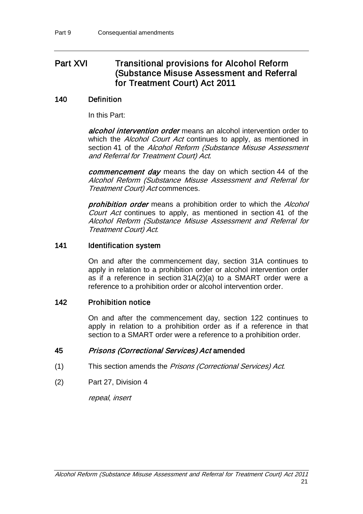# Part XVI Transitional provisions for Alcohol Reform (Substance Misuse Assessment and Referral for Treatment Court) Act 2011

## 140 Definition

In this Part:

alcohol intervention order means an alcohol intervention order to which the *Alcohol Court Act* continues to apply, as mentioned in section [41](#page-20-1) of the Alcohol Reform (Substance Misuse Assessment and Referral for Treatment Court) Act.

commencement day means the day on which section [44](#page-21-0) of the Alcohol Reform (Substance Misuse Assessment and Referral for Treatment Court) Act commences.

prohibition order means a prohibition order to which the Alcohol Court Act continues to apply, as mentioned in section [41](#page-20-1) of the Alcohol Reform (Substance Misuse Assessment and Referral for Treatment Court) Act.

## 141 **Identification system**

On and after the commencement day, section 31A continues to apply in relation to a prohibition order or alcohol intervention order as if a reference in section 31A(2)(a) to a SMART order were a reference to a prohibition order or alcohol intervention order.

## 142 Prohibition notice

On and after the commencement day, section 122 continues to apply in relation to a prohibition order as if a reference in that section to a SMART order were a reference to a prohibition order.

## 45 Prisons (Correctional Services) Act amended

- (1) This section amends the Prisons (Correctional Services) Act.
- (2) Part 27, Division 4

repeal, insert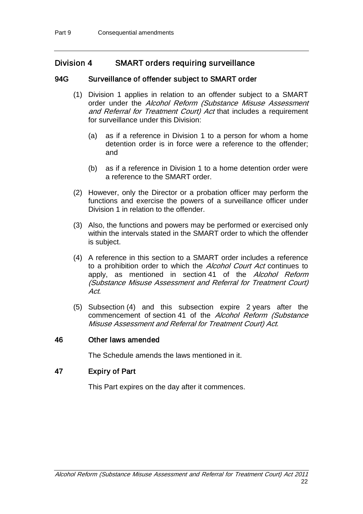## Division 4 SMART orders requiring surveillance

## 94G Surveillance of offender subject to SMART order

- (1) Division 1 applies in relation to an offender subject to a SMART order under the Alcohol Reform (Substance Misuse Assessment and Referral for Treatment Court) Act that includes a requirement for surveillance under this Division:
	- (a) as if a reference in Division 1 to a person for whom a home detention order is in force were a reference to the offender; and
	- (b) as if a reference in Division 1 to a home detention order were a reference to the SMART order.
- (2) However, only the Director or a probation officer may perform the functions and exercise the powers of a surveillance officer under Division 1 in relation to the offender.
- (3) Also, the functions and powers may be performed or exercised only within the intervals stated in the SMART order to which the offender is subject.
- (4) A reference in this section to a SMART order includes a reference to a prohibition order to which the Alcohol Court Act continues to apply, as mentioned in section [41](#page-20-1) of the Alcohol Reform (Substance Misuse Assessment and Referral for Treatment Court) Act.
- (5) Subsection (4) and this subsection expire 2 years after the commencement of section [41](#page-20-1) of the Alcohol Reform (Substance Misuse Assessment and Referral for Treatment Court) Act.

## <span id="page-24-0"></span>46 Other laws amended

The Schedule amends the laws mentioned in it.

## 47 Expiry of Part

This Part expires on the day after it commences.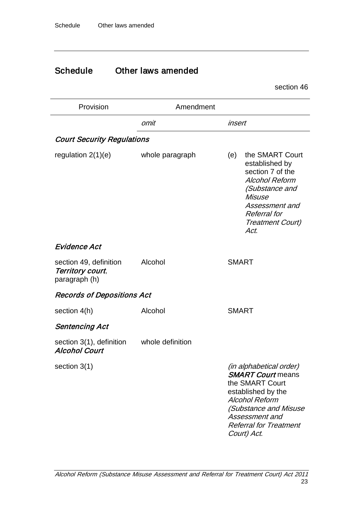# Schedule Other laws amended

section [46](#page-24-0)

| Provision                                                   | Amendment        |                                                                                                                                                                                                                         |
|-------------------------------------------------------------|------------------|-------------------------------------------------------------------------------------------------------------------------------------------------------------------------------------------------------------------------|
|                                                             | omit             | insert                                                                                                                                                                                                                  |
| <b>Court Security Regulations</b>                           |                  |                                                                                                                                                                                                                         |
| regulation $2(1)(e)$                                        | whole paragraph  | the SMART Court<br>(e)<br>established by<br>section 7 of the<br><b>Alcohol Reform</b><br>(Substance and<br>Misuse<br>Assessment and<br><b>Referral</b> for<br><b>Treatment Court)</b><br>Act.                           |
| Evidence Act                                                |                  |                                                                                                                                                                                                                         |
| section 49, definition<br>Territory court,<br>paragraph (h) | Alcohol          | <b>SMART</b>                                                                                                                                                                                                            |
| <b>Records of Depositions Act</b>                           |                  |                                                                                                                                                                                                                         |
| section 4(h)                                                | Alcohol          | <b>SMART</b>                                                                                                                                                                                                            |
| Sentencing Act                                              |                  |                                                                                                                                                                                                                         |
| section 3(1), definition<br><b>Alcohol Court</b>            | whole definition |                                                                                                                                                                                                                         |
| section $3(1)$                                              |                  | <i>(in alphabetical order)</i><br><b>SMART Court means</b><br>the SMART Court<br>established by the<br><b>Alcohol Reform</b><br>(Substance and Misuse<br>Assessment and<br><b>Referral for Treatment</b><br>Court) Act. |